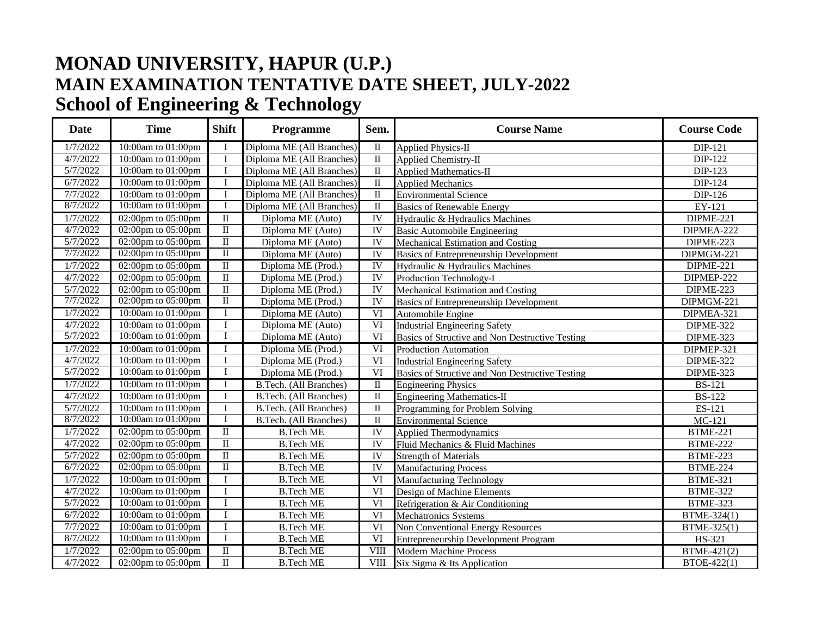## **MONAD UNIVERSITY, HAPUR (U.P.) MAIN EXAMINATION TENTATIVE DATE SHEET, JULY-2022 School of Engineering & Technology**

| <b>Date</b> | <b>Time</b>                      | <b>Shift</b>            | Programme                     | Sem.                    | <b>Course Name</b>                              | <b>Course Code</b>         |
|-------------|----------------------------------|-------------------------|-------------------------------|-------------------------|-------------------------------------------------|----------------------------|
| 1/7/2022    | 10:00am to 01:00pm               | $\mathbf I$             | Diploma ME (All Branches)     | $\overline{\mathbf{u}}$ | <b>Applied Physics-II</b>                       | <b>DIP-121</b>             |
| 4/7/2022    | 10:00am to 01:00pm               | $\mathbf I$             | Diploma ME (All Branches)     | $\;$ II                 | Applied Chemistry-II                            | DIP-122                    |
| 5/7/2022    | 10:00am to 01:00pm               | $\mathbf I$             | Diploma ME (All Branches)     | $\overline{\mathbf{u}}$ | <b>Applied Mathematics-II</b>                   | DIP-123                    |
| 6/7/2022    | 10:00am to 01:00pm               | $\bf I$                 | Diploma ME (All Branches)     | $\overline{\mathbf{u}}$ | <b>Applied Mechanics</b>                        | DIP-124                    |
| 7/7/2022    | $10:00$ am to 01:00pm            | $\mathbf I$             | Diploma ME (All Branches)     | $\;$ II                 | <b>Environmental Science</b>                    | DIP-126                    |
| 8/7/2022    | 10:00am to 01:00pm               | I                       | Diploma ME (All Branches)     | $\overline{\mathbf{u}}$ | <b>Basics of Renewable Energy</b>               | EY-121                     |
| 1/7/2022    | 02:00pm to 05:00pm               | $\overline{\mathbf{u}}$ | Diploma ME (Auto)             | IV                      | Hydraulic & Hydraulics Machines                 | DIPME-221                  |
| 4/7/2022    | 02:00pm to 05:00pm               | $\rm II$                | Diploma ME (Auto)             | IV                      | <b>Basic Automobile Engineering</b>             | DIPMEA-222                 |
| 5/7/2022    | 02:00pm to 05:00pm               | $\overline{\mathbf{u}}$ | Diploma ME (Auto)             | IV                      | Mechanical Estimation and Costing               | DIPME-223                  |
| 7/7/2022    | 02:00pm to 05:00pm               | $\overline{\mathbf{u}}$ | Diploma ME (Auto)             | $\overline{\text{IV}}$  | <b>Basics of Entrepreneurship Development</b>   | DIPMGM-221                 |
| 1/7/2022    | 02:00pm to 05:00pm               | $\overline{\mathbf{u}}$ | Diploma ME (Prod.)            | $\overline{\text{IV}}$  | Hydraulic & Hydraulics Machines                 | DIPME-221                  |
| 4/7/2022    | $\overline{02:}00$ pm to 05:00pm | $\rm II$                | Diploma ME (Prod.)            | IV                      | Production Technology-I                         | DIPMEP-222                 |
| 5/7/2022    | $\overline{02:}00$ pm to 05:00pm | $\rm II$                | Diploma ME (Prod.)            | IV                      | Mechanical Estimation and Costing               | DIPME-223                  |
| 7/7/2022    | 02:00pm to 05:00pm               | $\mathbf{I}$            | Diploma ME (Prod.)            | IV                      | <b>Basics of Entrepreneurship Development</b>   | DIPMGM-221                 |
| 1/7/2022    | 10:00am to 01:00pm               | I                       | Diploma ME (Auto)             | $\overline{VI}$         | Automobile Engine                               | DIPMEA-321                 |
| 4/7/2022    | 10:00am to 01:00pm               | $\mathbf I$             | Diploma ME (Auto)             | $\overline{\text{VI}}$  | <b>Industrial Engineering Safety</b>            | DIPME-322                  |
| 5/7/2022    | 10:00am to 01:00pm               |                         | Diploma ME (Auto)             | VI                      | Basics of Structive and Non Destructive Testing | DIPME-323                  |
| 1/7/2022    | 10:00am to 01:00pm               | I                       | Diploma ME (Prod.)            | VI                      | <b>Production Automation</b>                    | DIPMEP-321                 |
| 4/7/2022    | 10:00am to 01:00pm               | I                       | Diploma ME (Prod.)            | $\overline{\text{VI}}$  | <b>Industrial Engineering Safety</b>            | DIPME-322                  |
| 5/7/2022    | 10:00am to 01:00pm               | I                       | Diploma ME (Prod.)            | VI                      | Basics of Structive and Non Destructive Testing | DIPME-323                  |
| 1/7/2022    | 10:00am to 01:00pm               | $\bf I$                 | <b>B.Tech.</b> (All Branches) | $\overline{\mathbf{I}}$ | <b>Engineering Physics</b>                      | $\overline{\text{BS-121}}$ |
| 4/7/2022    | 10:00am to 01:00pm               | $\mathbf I$             | <b>B.Tech.</b> (All Branches) | $\;$ II                 | <b>Engineering Mathematics-II</b>               | <b>BS-122</b>              |
| 5/7/2022    | 10:00am to 01:00pm               | I                       | <b>B.Tech.</b> (All Branches) | $\;$ II                 | Programming for Problem Solving                 | ES-121                     |
| 8/7/2022    | 10:00am to 01:00pm               | I                       | B.Tech. (All Branches)        | $\overline{\mathbf{u}}$ | <b>Environmental Science</b>                    | $MC-121$                   |
| 1/7/2022    | 02:00pm to 05:00pm               | $\overline{\mathbf{u}}$ | <b>B.Tech ME</b>              | IV                      | <b>Applied Thermodynamics</b>                   | <b>BTME-221</b>            |
| 4/7/2022    | 02:00pm to 05:00pm               | $\overline{\mathbf{u}}$ | <b>B.Tech ME</b>              | $\overline{\text{IV}}$  | Fluid Mechanics & Fluid Machines                | <b>BTME-222</b>            |
| 5/7/2022    | 02:00pm to 05:00pm               | $\rm II$                | <b>B.Tech ME</b>              | $\overline{\text{IV}}$  | <b>Strength of Materials</b>                    | <b>BTME-223</b>            |
| 6/7/2022    | 02:00pm to 05:00pm               | $\overline{\mathbb{I}}$ | <b>B.Tech ME</b>              | <b>IV</b>               | <b>Manufacturing Process</b>                    | <b>BTME-224</b>            |
| 1/7/2022    | 10:00am to 01:00pm               | I                       | <b>B.Tech ME</b>              | VI                      | Manufacturing Technology                        | <b>BTME-321</b>            |
| 4/7/2022    | 10:00am to 01:00pm               | $\bf I$                 | <b>B.Tech ME</b>              | $\overline{\text{VI}}$  | Design of Machine Elements                      | <b>BTME-322</b>            |
| 5/7/2022    | 10:00am to 01:00pm               | $\mathbf I$             | <b>B.Tech ME</b>              | VI                      | Refrigeration & Air Conditioning                | <b>BTME-323</b>            |
| 6/7/2022    | 10:00am to 01:00pm               | $\mathbf I$             | <b>B.Tech ME</b>              | $\overline{\text{VI}}$  | Mechatronics Systems                            | BTME-324(1)                |
| 7/7/2022    | 10:00am to 01:00pm               | $\overline{I}$          | <b>B.Tech ME</b>              | $\overline{\text{VI}}$  | <b>Non Conventional Energy Resources</b>        | BTME-325(1)                |
| 8/7/2022    | 10:00am to 01:00pm               | I                       | <b>B.Tech ME</b>              | VI                      | <b>Entrepreneurship Development Program</b>     | HS-321                     |
| 1/7/2022    | 02:00pm to 05:00pm               | $\overline{\mathbf{u}}$ | <b>B.Tech ME</b>              | VIII                    | <b>Modern Machine Process</b>                   | BTME-421(2)                |
| 4/7/2022    | 02:00pm to 05:00pm               | $\rm II$                | <b>B.Tech ME</b>              | <b>VIII</b>             | Six Sigma & Its Application                     | BTOE-422(1)                |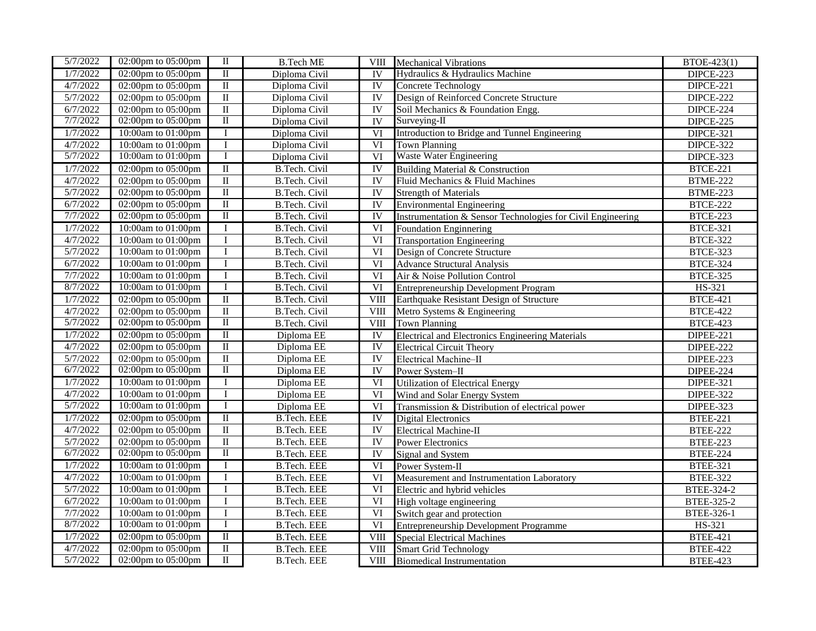| 5/7/2022 | 02:00pm to $05:00$ pm                  | П                               | <b>B.Tech ME</b>     | <b>VIII</b>              | <b>Mechanical Vibrations</b>                                | BTOE-423(1)       |
|----------|----------------------------------------|---------------------------------|----------------------|--------------------------|-------------------------------------------------------------|-------------------|
| 1/7/2022 | $02:00$ pm to $05:00$ pm               | $\overline{\mathbf{u}}$         | Diploma Civil        | IV                       | Hydraulics & Hydraulics Machine                             | DIPCE-223         |
| 4/7/2022 | 02:00pm to 05:00pm                     | $\;$ II                         | Diploma Civil        | IV                       | Concrete Technology                                         | DIPCE-221         |
| 5/7/2022 | 02:00pm to 05:00pm                     | $\;$ II                         | Diploma Civil        | IV                       | Design of Reinforced Concrete Structure                     | DIPCE-222         |
| 6/7/2022 | 02:00pm to 05:00pm                     | $\rm II$                        | Diploma Civil        | IV                       | Soil Mechanics & Foundation Engg.                           | DIPCE-224         |
| 7/7/2022 | 02:00pm to 05:00pm                     | $\overline{\mathbf{u}}$         | Diploma Civil        | $\overline{\mathrm{IV}}$ | Surveying-II                                                | DIPCE-225         |
| 1/7/2022 | 10:00am to 01:00pm                     | $\bf{I}$                        | Diploma Civil        | $\overline{VI}$          | Introduction to Bridge and Tunnel Engineering               | DIPCE-321         |
| 4/7/2022 | 10:00am to 01:00pm                     | I                               | Diploma Civil        | $\overline{VI}$          | Town Planning                                               | DIPCE-322         |
| 5/7/2022 | 10:00am to 01:00pm                     | I                               | Diploma Civil        | VI                       | <b>Waste Water Engineering</b>                              | DIPCE-323         |
| 1/7/2022 | 02:00pm to $05:00$ pm                  | $\overline{\mathbf{u}}$         | <b>B.Tech. Civil</b> | IV                       | <b>Building Material &amp; Construction</b>                 | <b>BTCE-221</b>   |
| 4/7/2022 | 02:00pm to 05:00pm                     | $\overline{\mathbf{u}}$         | <b>B.Tech. Civil</b> | $\overline{IV}$          | Fluid Mechanics & Fluid Machines                            | <b>BTME-222</b>   |
| 5/7/2022 | 02:00pm to 05:00pm                     | $\overline{\mathbf{I}}$         | B.Tech. Civil        | IV                       | <b>Strength of Materials</b>                                | <b>BTME-223</b>   |
| 6/7/2022 | $02:00 \text{pm}$ to $05:00 \text{pm}$ | $\overline{\mathbf{I}}$         | <b>B.Tech. Civil</b> | <b>IV</b>                | <b>Environmental Engineering</b>                            | <b>BTCE-222</b>   |
| 7/7/2022 | 02:00pm to 05:00pm                     | $\mathop{\mathrm{II}}\nolimits$ | B.Tech. Civil        | <b>IV</b>                | Instrumentation & Sensor Technologies for Civil Engineering | <b>BTCE-223</b>   |
| 1/7/2022 | 10:00am to 01:00pm                     | $\bf{I}$                        | <b>B.Tech. Civil</b> | VI                       | <b>Foundation Enginnering</b>                               | <b>BTCE-321</b>   |
| 4/7/2022 | 10:00am to 01:00pm                     | $\bf I$                         | B.Tech. Civil        | $\overline{\text{VI}}$   | <b>Transportation Engineering</b>                           | <b>BTCE-322</b>   |
| 5/7/2022 | 10:00am to 01:00pm                     | $\mathbf I$                     | <b>B.Tech. Civil</b> | $\overline{\text{VI}}$   | Design of Concrete Structure                                | <b>BTCE-323</b>   |
| 6/7/2022 | 10:00am to 01:00pm                     | $\bf{I}$                        | B.Tech. Civil        | VI                       | <b>Advance Structural Analysis</b>                          | <b>BTCE-324</b>   |
| 7/7/2022 | 10:00am to 01:00pm                     | $\bf{I}$                        | B.Tech. Civil        | VI                       | Air & Noise Pollution Control                               | <b>BTCE-325</b>   |
| 8/7/2022 | 10:00am to 01:00pm                     | I                               | B.Tech. Civil        | $\overline{\text{VI}}$   | <b>Entrepreneurship Development Program</b>                 | HS-321            |
| 1/7/2022 | 02:00pm to 05:00pm                     | $\overline{\mathbf{u}}$         | <b>B.Tech. Civil</b> | VIII                     | Earthquake Resistant Design of Structure                    | <b>BTCE-421</b>   |
| 4/7/2022 | 02:00pm to 05:00pm                     | $\overline{\mathbf{u}}$         | <b>B.Tech. Civil</b> | $\overline{\text{VIII}}$ | Metro Systems & Engineering                                 | <b>BTCE-422</b>   |
| 5/7/2022 | 02:00pm to 05:00pm                     | $\overline{\mathbf{u}}$         | <b>B.Tech. Civil</b> | VIII                     | <b>Town Planning</b>                                        | <b>BTCE-423</b>   |
| 1/7/2022 | 02:00pm to 05:00pm                     | $\mathbf{I}$                    | Diploma EE           | $\overline{\text{IV}}$   | <b>Electrical and Electronics Engineering Materials</b>     | <b>DIPEE-221</b>  |
| 4/7/2022 | 02:00pm to 05:00pm                     | $\overline{\mathbf{u}}$         | Diploma EE           | <b>IV</b>                | <b>Electrical Circuit Theory</b>                            | <b>DIPEE-222</b>  |
| 5/7/2022 | $02:00$ pm to $05:00$ pm               | $\;$ II                         | Diploma EE           | IV                       | Electrical Machine-II                                       | DIPEE-223         |
| 6/7/2022 | 02:00pm to 05:00pm                     | $\overline{\mathbf{I}}$         | Diploma EE           | <b>IV</b>                | Power System-II                                             | DIPEE-224         |
| 1/7/2022 | 10:00am to 01:00pm                     | $\bf{I}$                        | Diploma EE           | VI                       | <b>Utilization of Electrical Energy</b>                     | <b>DIPEE-321</b>  |
| 4/7/2022 | 10:00am to 01:00pm                     | $\bf I$                         | Diploma EE           | $\overline{VI}$          | Wind and Solar Energy System                                | DIPEE-322         |
| 5/7/2022 | 10:00am to 01:00pm                     | T                               | Diploma EE           | VI                       | Transmission & Distribution of electrical power             | DIPEE-323         |
| 1/7/2022 | $02:00$ pm to $05:00$ pm               | $\overline{\mathbf{u}}$         | <b>B.Tech. EEE</b>   | <b>IV</b>                | <b>Digital Electronics</b>                                  | <b>BTEE-221</b>   |
| 4/7/2022 | $02:00 \text{pm}$ to $05:00 \text{pm}$ | $\;$ II                         | <b>B.Tech. EEE</b>   | IV                       | Electrical Machine-II                                       | <b>BTEE-222</b>   |
| 5/7/2022 | 02:00pm to 05:00pm                     | $\overline{\mathbf{u}}$         | <b>B.Tech. EEE</b>   | IV                       | <b>Power Electronics</b>                                    | <b>BTEE-223</b>   |
| 6/7/2022 | 02:00pm to 05:00pm                     | $\overline{\mathbf{I}}$         | <b>B.Tech. EEE</b>   | IV                       | Signal and System                                           | <b>BTEE-224</b>   |
| 1/7/2022 | 10:00am to 01:00pm                     | Ι.                              | <b>B.Tech. EEE</b>   | VI                       | Power System-II                                             | <b>BTEE-321</b>   |
| 4/7/2022 | 10:00am to 01:00pm                     | I                               | <b>B.Tech. EEE</b>   | $\overline{\text{VI}}$   | Measurement and Instrumentation Laboratory                  | <b>BTEE-322</b>   |
| 5/7/2022 | 10:00am to 01:00pm                     | $\mathbf I$                     | <b>B.Tech. EEE</b>   | $\overline{\text{VI}}$   | Electric and hybrid vehicles                                | BTEE-324-2        |
| 6/7/2022 | 10:00am to 01:00pm                     | $\bf I$                         | <b>B.Tech. EEE</b>   | $\overline{\text{VI}}$   | High voltage engineering                                    | <b>BTEE-325-2</b> |
| 7/7/2022 | 10:00am to 01:00pm                     | $\bf{I}$                        | <b>B.Tech.</b> EEE   | $\overline{\text{VI}}$   | Switch gear and protection                                  | BTEE-326-1        |
| 8/7/2022 | 10:00am to 01:00pm                     | I                               | <b>B.Tech. EEE</b>   | $\overline{\text{VI}}$   | <b>Entrepreneurship Development Programme</b>               | HS-321            |
| 1/7/2022 | 02:00pm to 05:00pm                     | $\overline{\mathbf{u}}$         | <b>B.Tech. EEE</b>   | VIII                     | <b>Special Electrical Machines</b>                          | <b>BTEE-421</b>   |
| 4/7/2022 | 02:00pm to 05:00pm                     | $\overline{\mathbf{u}}$         | <b>B.Tech. EEE</b>   | <b>VIII</b>              | <b>Smart Grid Technology</b>                                | <b>BTEE-422</b>   |
| 5/7/2022 | 02:00pm to 05:00pm                     | $\mathbf{I}$                    | <b>B.Tech. EEE</b>   | VIII                     | <b>Biomedical Instrumentation</b>                           | <b>BTEE-423</b>   |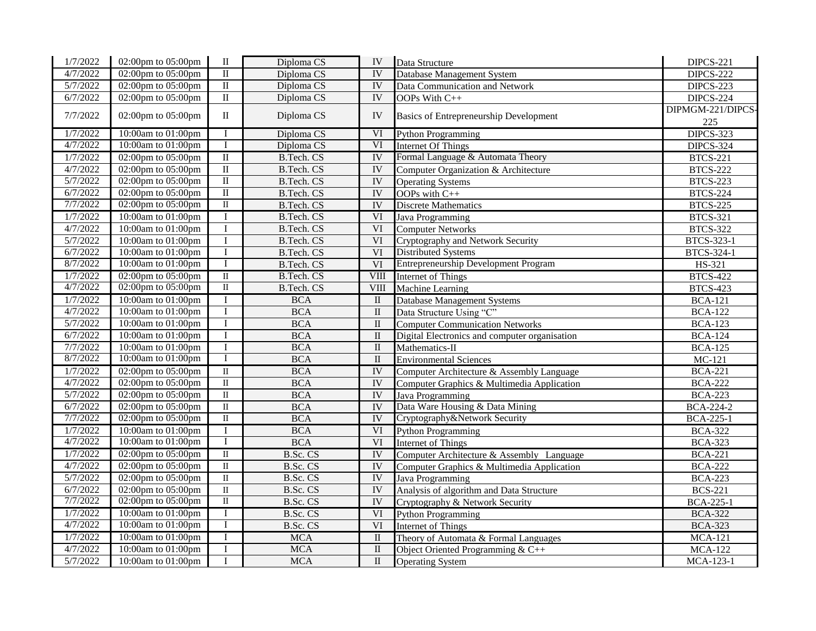| 1/7/2022 | 02:00pm to 05:00pm    | $\rm II$                | Diploma CS        | IV                        | Data Structure                                | DIPCS-221         |
|----------|-----------------------|-------------------------|-------------------|---------------------------|-----------------------------------------------|-------------------|
| 4/7/2022 | 02:00pm to 05:00pm    | $\mathbf{I}$            | Diploma CS        | <b>IV</b>                 | Database Management System                    | DIPCS-222         |
| 5/7/2022 | 02:00pm to 05:00pm    | $\overline{\mathbf{I}}$ | Diploma CS        | <b>IV</b>                 | Data Communication and Network                | DIPCS-223         |
| 6/7/2022 | 02:00pm to 05:00pm    | $\rm II$                | Diploma CS        | IV                        | OOPs With C++                                 | DIPCS-224         |
| 7/7/2022 | 02:00pm to 05:00pm    | $\rm II$                | Diploma CS        | IV                        |                                               | DIPMGM-221/DIPCS- |
|          |                       |                         |                   |                           | <b>Basics of Entrepreneurship Development</b> | 225               |
| 1/7/2022 | 10:00am to 01:00pm    | $\mathbf I$             | Diploma CS        | VI                        | <b>Python Programming</b>                     | <b>DIPCS-323</b>  |
| 4/7/2022 | 10:00am to 01:00pm    | $\mathbf I$             | Diploma CS        | VI                        | <b>Internet Of Things</b>                     | <b>DIPCS-324</b>  |
| 1/7/2022 | 02:00pm to 05:00pm    | $\overline{\mathbb{I}}$ | <b>B.Tech. CS</b> | <b>IV</b>                 | Formal Language & Automata Theory             | <b>BTCS-221</b>   |
| 4/7/2022 | 02:00pm to 05:00pm    | $\rm II$                | <b>B.Tech. CS</b> | $\overline{\rm I}{\rm V}$ | Computer Organization & Architecture          | <b>BTCS-222</b>   |
| 5/7/2022 | 02:00pm to 05:00pm    | $\overline{\mathbb{I}}$ | <b>B.Tech. CS</b> | $\overline{IV}$           | <b>Operating Systems</b>                      | <b>BTCS-223</b>   |
| 6/7/2022 | 02:00pm to 05:00pm    | $\overline{\mathbb{I}}$ | <b>B.Tech. CS</b> | <b>IV</b>                 | OOPs with C++                                 | <b>BTCS-224</b>   |
| 7/7/2022 | 02:00pm to 05:00pm    | $\rm II$                | <b>B.Tech. CS</b> | $\overline{IV}$           | <b>Discrete Mathematics</b>                   | <b>BTCS-225</b>   |
| 1/7/2022 | 10:00am to 01:00pm    | $\overline{I}$          | <b>B.Tech. CS</b> | VI                        | <b>Java Programming</b>                       | <b>BTCS-321</b>   |
| 4/7/2022 | 10:00am to 01:00pm    | $\bf I$                 | B.Tech. CS        | VI                        | <b>Computer Networks</b>                      | <b>BTCS-322</b>   |
| 5/7/2022 | 10:00am to 01:00pm    | $\bf I$                 | <b>B.Tech. CS</b> | $\overline{\text{VI}}$    | Cryptography and Network Security             | BTCS-323-1        |
| 6/7/2022 | 10:00am to 01:00pm    | $\mathbf I$             | <b>B.Tech. CS</b> | VI                        | <b>Distributed Systems</b>                    | BTCS-324-1        |
| 8/7/2022 | 10:00am to 01:00pm    | $\mathbf I$             | <b>B.Tech. CS</b> | VI                        | <b>Entrepreneurship Development Program</b>   | HS-321            |
| 1/7/2022 | 02:00pm to $05:00$ pm | $\rm II$                | <b>B.Tech. CS</b> | VIII                      | <b>Internet of Things</b>                     | <b>BTCS-422</b>   |
| 4/7/2022 | 02:00pm to 05:00pm    | $\rm II$                | <b>B.Tech. CS</b> | VIII                      | Machine Learning                              | <b>BTCS-423</b>   |
| 1/7/2022 | 10:00am to 01:00pm    | $\mathbf I$             | <b>BCA</b>        | $\overline{\rm II}$       | <b>Database Management Systems</b>            | <b>BCA-121</b>    |
| 4/7/2022 | 10:00am to 01:00pm    | $\bf I$                 | <b>BCA</b>        | $\rm II$                  | Data Structure Using "C"                      | <b>BCA-122</b>    |
| 5/7/2022 | 10:00am to 01:00pm    | $\mathbf I$             | <b>BCA</b>        | $\rm II$                  | <b>Computer Communication Networks</b>        | <b>BCA-123</b>    |
| 6/7/2022 | 10:00am to 01:00pm    | $\overline{I}$          | <b>BCA</b>        | $\rm II$                  | Digital Electronics and computer organisation | <b>BCA-124</b>    |
| 7/7/2022 | 10:00am to 01:00pm    | $\overline{I}$          | <b>BCA</b>        | $\overline{\rm II}$       | Mathematics-II                                | <b>BCA-125</b>    |
| 8/7/2022 | 10:00am to 01:00pm    | $\overline{I}$          | <b>BCA</b>        | $\rm II$                  | <b>Environmental Sciences</b>                 | $MC-121$          |
| 1/7/2022 | 02:00pm to 05:00pm    | $\overline{\rm II}$     | <b>BCA</b>        | IV                        | Computer Architecture & Assembly Language     | <b>BCA-221</b>    |
| 4/7/2022 | 02:00pm to 05:00pm    | $\rm II$                | <b>BCA</b>        | $\overline{IV}$           | Computer Graphics & Multimedia Application    | <b>BCA-222</b>    |
| 5/7/2022 | 02:00pm to 05:00pm    | $\overline{\rm II}$     | <b>BCA</b>        | <b>IV</b>                 | Java Programming                              | <b>BCA-223</b>    |
| 6/7/2022 | 02:00pm to 05:00pm    | $\rm II$                | $\rm BCA$         | <b>IV</b>                 | Data Ware Housing & Data Mining               | <b>BCA-224-2</b>  |
| 7/7/2022 | 02:00pm to 05:00pm    | $\rm II$                | <b>BCA</b>        | $\overline{IV}$           | Cryptography&Network Security                 | <b>BCA-225-1</b>  |
| 1/7/2022 | 10:00am to 01:00pm    | $\bf{I}$                | <b>BCA</b>        | VI                        | <b>Python Programming</b>                     | <b>BCA-322</b>    |
| 4/7/2022 | 10:00am to 01:00pm    | $\mathbf I$             | <b>BCA</b>        | VI                        | <b>Internet of Things</b>                     | <b>BCA-323</b>    |
| 1/7/2022 | 02:00pm to 05:00pm    | $\rm II$                | B.Sc. CS          | IV                        | Computer Architecture & Assembly Language     | <b>BCA-221</b>    |
| 4/7/2022 | 02:00pm to 05:00pm    | $\mathbf{I}$            | B.Sc. CS          | $\overline{IV}$           | Computer Graphics & Multimedia Application    | <b>BCA-222</b>    |
| 5/7/2022 | 02:00pm to 05:00pm    | $\overline{\rm II}$     | B.Sc. CS          | $\overline{\rm I}$        | Java Programming                              | <b>BCA-223</b>    |
| 6/7/2022 | 02:00pm to 05:00pm    | $\overline{\rm II}$     | B.Sc. CS          | $\overline{\rm I}$        | Analysis of algorithm and Data Structure      | <b>BCS-221</b>    |
| 7/7/2022 | 02:00pm to 05:00pm    | $\overline{\rm II}$     | B.Sc. CS          | $\overline{IV}$           | Cryptography & Network Security               | <b>BCA-225-1</b>  |
| 1/7/2022 | 10:00am to 01:00pm    | $\mathbf I$             | B.Sc. CS          | VI                        | <b>Python Programming</b>                     | <b>BCA-322</b>    |
| 4/7/2022 | 10:00am to 01:00pm    | $\overline{I}$          | B.Sc. CS          | VI                        | Internet of Things                            | <b>BCA-323</b>    |
| 1/7/2022 | 10:00am to 01:00pm    | $\mathbf I$             | MCA               | $\rm II$                  | Theory of Automata & Formal Languages         | <b>MCA-121</b>    |
| 4/7/2022 | 10:00am to 01:00pm    | $\overline{I}$          | $\rm MCA$         | $\overline{\rm II}$       | Object Oriented Programming $& C++$           | <b>MCA-122</b>    |
| 5/7/2022 | 10:00am to 01:00pm    | $\mathbf I$             | <b>MCA</b>        | $\overline{\rm II}$       | <b>Operating System</b>                       | MCA-123-1         |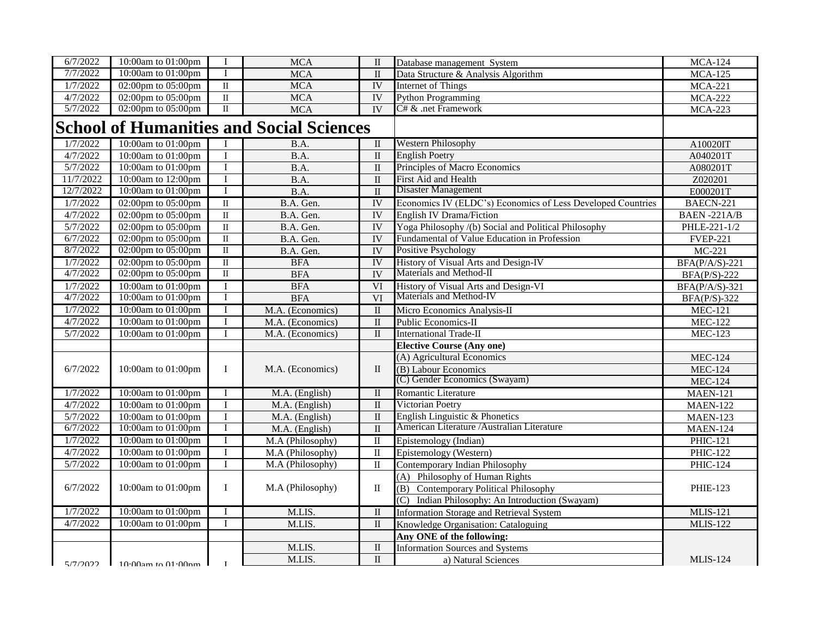| 6/7/2022  | 10:00am to 01:00pm            | I                       | <b>MCA</b>                                      | $\rm II$                | Database management System                                  | <b>MCA-124</b>      |
|-----------|-------------------------------|-------------------------|-------------------------------------------------|-------------------------|-------------------------------------------------------------|---------------------|
| 7/7/2022  | 10:00am to 01:00pm            | $\mathbf{I}$            | <b>MCA</b>                                      | $\overline{\rm II}$     | Data Structure & Analysis Algorithm                         | <b>MCA-125</b>      |
| 1/7/2022  | 02:00pm to 05:00pm            | $\rm II$                | <b>MCA</b>                                      | <b>IV</b>               | <b>Internet of Things</b>                                   | <b>MCA-221</b>      |
| 4/7/2022  | 02:00pm to 05:00pm            | $\rm II$                | <b>MCA</b>                                      | <b>IV</b>               | <b>Python Programming</b>                                   | <b>MCA-222</b>      |
| 5/7/2022  | 02:00pm to 05:00pm            | $\rm II$                | <b>MCA</b>                                      | $\overline{IV}$         | C# & .net Framework                                         | <b>MCA-223</b>      |
|           |                               |                         | <b>School of Humanities and Social Sciences</b> |                         |                                                             |                     |
| 1/7/2022  | 10:00am to 01:00pm            | I                       | B.A.                                            | $\mathbf{I}$            | <b>Western Philosophy</b>                                   | A10020IT            |
| 4/7/2022  | 10:00am to 01:00pm            | $\overline{I}$          | B.A.                                            | $\rm II$                | <b>English Poetry</b>                                       | A040201T            |
| 5/7/2022  | 10:00am to 01:00pm            | $\mathbf I$             | B.A.                                            | $\rm II$                | Principles of Macro Economics                               | A080201T            |
| 11/7/2022 | 10:00am to 12:00pm            | $\mathbf I$             | B.A.                                            | $\rm II$                | First Aid and Health                                        | Z020201             |
| 12/7/2022 | 10:00am to 01:00pm            | $\mathbf{I}$            | B.A.                                            | $\overline{\rm II}$     | Disaster Management                                         | E000201T            |
| 1/7/2022  | 02:00pm to 05:00pm            | $\overline{\mathbf{u}}$ | B.A. Gen.                                       | IV                      | Economics IV (ELDC's) Economics of Less Developed Countries | BAECN-221           |
| 4/7/2022  | 02:00pm to 05:00pm            | $\overline{\rm II}$     | B.A. Gen.                                       | $\overline{IV}$         | <b>English IV Drama/Fiction</b>                             | BAEN-221A/B         |
| 5/7/2022  | 02:00pm to 05:00pm            | $\overline{\rm II}$     | B.A. Gen.                                       | IV                      | Yoga Philosophy /(b) Social and Political Philosophy        | PHLE-221-1/2        |
| 6/7/2022  | 02:00pm to 05:00pm            | $\overline{\rm II}$     | B.A. Gen.                                       | $\overline{IV}$         | Fundamental of Value Education in Profession                | <b>FVEP-221</b>     |
| 8/7/2022  | 02:00pm to 05:00pm            | $\mathbf{I}$            | B.A. Gen.                                       | $\overline{IV}$         | Positive Psychology                                         | $MC-221$            |
| 1/7/2022  | 02:00pm to 05:00pm            | $\overline{\mathbf{u}}$ | <b>BFA</b>                                      | <b>IV</b>               | History of Visual Arts and Design-IV                        | $BFA(P/A/S)-221$    |
| 4/7/2022  | 02:00pm to 05:00pm            | $\overline{\mathbf{u}}$ | <b>BFA</b>                                      | $\overline{IV}$         | Materials and Method-II                                     | $BFA(P/S)-222$      |
| 1/7/2022  | 10:00am to 01:00pm            | I                       | <b>BFA</b>                                      | VI                      | History of Visual Arts and Design-VI                        | $BFA(P/A/S)-321$    |
| 4/7/2022  | 10:00am to 01:00pm            | I                       | <b>BFA</b>                                      | $\overline{\text{VI}}$  | Materials and Method-IV                                     | <b>BFA(P/S)-322</b> |
| 1/7/2022  | 10:00am to 01:00pm            | $\mathbf I$             | M.A. (Economics)                                | $\overline{\rm II}$     | Micro Economics Analysis-II                                 | <b>MEC-121</b>      |
| 4/7/2022  | 10:00am to 01:00pm            | $\mathbf I$             | M.A. (Economics)                                | $\rm II$                | Public Economics-II                                         | <b>MEC-122</b>      |
| 5/7/2022  | 10:00am to 01:00pm            | $\mathbf{I}$            | M.A. (Economics)                                | $\rm II$                | <b>International Trade-II</b>                               | <b>MEC-123</b>      |
|           |                               |                         |                                                 |                         | <b>Elective Course (Any one)</b>                            |                     |
|           |                               |                         |                                                 |                         | (A) Agricultural Economics                                  | <b>MEC-124</b>      |
| 6/7/2022  | 10:00am to 01:00pm            | $\mathbf{I}$            | M.A. (Economics)                                | $\mathbf{I}$            | (B) Labour Economics                                        | <b>MEC-124</b>      |
|           |                               |                         |                                                 |                         | (C) Gender Economics (Swayam)                               | <b>MEC-124</b>      |
| 1/7/2022  | 10:00am to 01:00pm            | I                       | M.A. (English)                                  | $\overline{\rm II}$     | <b>Romantic Literature</b>                                  | <b>MAEN-121</b>     |
| 4/7/2022  | 10:00am to 01:00pm            | $\mathbf I$             | M.A. (English)                                  | $\mathbf{I}$            | Victorian Poetry                                            | <b>MAEN-122</b>     |
| 5/7/2022  | 10:00am to 01:00pm            | $\overline{I}$          | M.A. (English)                                  | $\mathbf{I}$            | English Linguistic & Phonetics                              | <b>MAEN-123</b>     |
| 6/7/2022  | 10:00am to 01:00pm            | I                       | $M.A.$ (English)                                | $\mathbf{I}$            | American Literature /Australian Literature                  | <b>MAEN-124</b>     |
| 1/7/2022  | 10:00am to 01:00pm            | $\mathbf{I}$            | M.A (Philosophy)                                | $\mathbf{I}$            | Epistemology (Indian)                                       | <b>PHIC-121</b>     |
| 4/7/2022  | 10:00am to 01:00pm            | $\mathbf{I}$            | M.A (Philosophy)                                | $\mathbf{I}$            | Epistemology (Western)                                      | <b>PHIC-122</b>     |
| 5/7/2022  | 10:00am to 01:00pm            | T                       | M.A (Philosophy)                                | $\overline{\mathbf{u}}$ | Contemporary Indian Philosophy                              | <b>PHIC-124</b>     |
|           |                               |                         |                                                 |                         | Philosophy of Human Rights<br>(A)                           |                     |
| 6/7/2022  | 10:00am to 01:00pm            | $\mathbf{I}$            | M.A (Philosophy)                                | $\rm II$                | <b>Contemporary Political Philosophy</b><br>(B)             | PHIE-123            |
|           |                               |                         |                                                 |                         | (C)<br>Indian Philosophy: An Introduction (Swayam)          |                     |
| 1/7/2022  | 10:00am to 01:00pm            | $\bf{I}$                | M.LIS.                                          | $\overline{\mathbf{u}}$ | <b>Information Storage and Retrieval System</b>             | <b>MLIS-121</b>     |
| 4/7/2022  | 10:00am to 01:00pm            | $\mathbf{I}$            | M.LIS.                                          | $\mathbf{I}$            | Knowledge Organisation: Cataloguing                         | <b>MLIS-122</b>     |
|           |                               |                         |                                                 |                         | Any ONE of the following:                                   |                     |
|           |                               |                         | M.LIS.                                          | $\overline{\rm II}$     | <b>Information Sources and Systems</b>                      |                     |
|           | $5/7/2022$ 10:00am to 01:00pm | $\mathbf{r}$            | M.LIS.                                          | $\rm II$                | a) Natural Sciences                                         | <b>MLIS-124</b>     |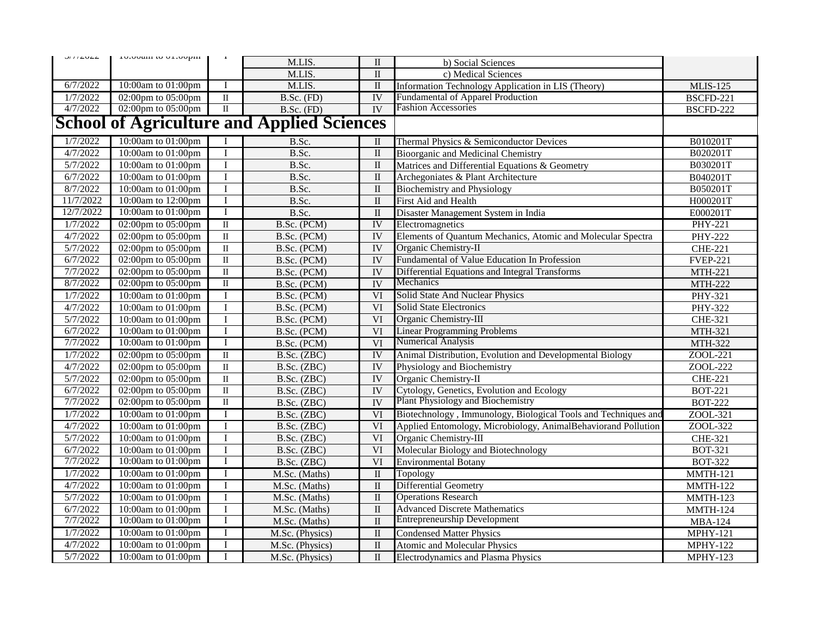| J/I/LULL  | rotoom to original |                         |                                                   |                         |                                                                |                  |
|-----------|--------------------|-------------------------|---------------------------------------------------|-------------------------|----------------------------------------------------------------|------------------|
|           |                    |                         | M.LIS.                                            | $\mathbf{I}$            | b) Social Sciences                                             |                  |
|           |                    |                         | M.LIS.                                            | $\rm II$                | c) Medical Sciences                                            |                  |
| 6/7/2022  | 10:00am to 01:00pm | $\bf{I}$                | M.LIS.                                            | $\rm II$                | Information Technology Application in LIS (Theory)             | <b>MLIS-125</b>  |
| 1/7/2022  | 02:00pm to 05:00pm | $\overline{\rm II}$     | $B.Sc.$ (FD)                                      | <b>IV</b>               | <b>Fundamental of Apparel Production</b>                       | <b>BSCFD-221</b> |
| 4/7/2022  | 02:00pm to 05:00pm | $\rm II$                | B.Sc. (FD)                                        | $\overline{IV}$         | <b>Fashion Accessories</b>                                     | BSCFD-222        |
|           |                    |                         | <b>School of Agriculture and Applied Sciences</b> |                         |                                                                |                  |
| 1/7/2022  | 10:00am to 01:00pm | $\bf{I}$                | B.Sc.                                             | $\mathbf{I}$            | Thermal Physics & Semiconductor Devices                        | B010201T         |
| 4/7/2022  | 10:00am to 01:00pm | $\bf I$                 | B.Sc.                                             | $\mathbf{I}$            | Bioorganic and Medicinal Chemistry                             | B020201T         |
| 5/7/2022  | 10:00am to 01:00pm | $\mathbf I$             | B.Sc.                                             | $\mathbf{I}$            | Matrices and Differential Equations & Geometry                 | B030201T         |
| 6/7/2022  | 10:00am to 01:00pm | $\mathbf I$             | B.Sc.                                             | $\rm II$                | Archegoniates & Plant Architecture                             | B040201T         |
| 8/7/2022  | 10:00am to 01:00pm | $\bf{I}$                | B.Sc.                                             | $\rm II$                | <b>Biochemistry and Physiology</b>                             | B050201T         |
| 11/7/2022 | 10:00am to 12:00pm | $\mathbf I$             | B.Sc.                                             | $\rm II$                | First Aid and Health                                           | H000201T         |
| 12/7/2022 | 10:00am to 01:00pm | $\mathbf I$             | B.Sc.                                             | $\rm II$                | Disaster Management System in India                            | E000201T         |
| 1/7/2022  | 02:00pm to 05:00pm | $\mathbf{I}$            | B.Sc. (PCM)                                       | IV                      | Electromagnetics                                               | <b>PHY-221</b>   |
| 4/7/2022  | 02:00pm to 05:00pm | $\overline{\rm II}$     | B.Sc. (PCM)                                       | $\overline{IV}$         | Elements of Quantum Mechanics, Atomic and Molecular Spectra    | <b>PHY-222</b>   |
| 5/7/2022  | 02:00pm to 05:00pm | $\rm II$                | B.Sc. (PCM)                                       | <b>IV</b>               | Organic Chemistry-II                                           | <b>CHE-221</b>   |
| 6/7/2022  | 02:00pm to 05:00pm | $\overline{\rm II}$     | B.Sc. (PCM)                                       | <b>IV</b>               | Fundamental of Value Education In Profession                   | <b>FVEP-221</b>  |
| 7/7/2022  | 02:00pm to 05:00pm | $\overline{\rm II}$     | B.Sc. (PCM)                                       | <b>IV</b>               | Differential Equations and Integral Transforms                 | <b>MTH-221</b>   |
| 8/7/2022  | 02:00pm to 05:00pm | $\overline{\mathbf{u}}$ | B.Sc. (PCM)                                       | IV                      | Mechanics                                                      | <b>MTH-222</b>   |
| 1/7/2022  | 10:00am to 01:00pm | I                       | B.Sc. (PCM)                                       | VI                      | Solid State And Nuclear Physics                                | PHY-321          |
| 4/7/2022  | 10:00am to 01:00pm | $\mathbf I$             | B.Sc. (PCM)                                       | VI                      | <b>Solid State Electronics</b>                                 | PHY-322          |
| 5/7/2022  | 10:00am to 01:00pm | $\bf I$                 | B.Sc. (PCM)                                       | VI                      | Organic Chemistry-III                                          | CHE-321          |
| 6/7/2022  | 10:00am to 01:00pm | $\bf I$                 | B.Sc. (PCM)                                       | VI                      | <b>Linear Programming Problems</b>                             | MTH-321          |
| 7/7/2022  | 10:00am to 01:00pm | $\mathbf I$             | B.Sc. (PCM)                                       | $\overline{\text{VI}}$  | Numerical Analysis                                             | <b>MTH-322</b>   |
| 1/7/2022  | 02:00pm to 05:00pm | $\overline{\mathbb{I}}$ | B.Sc. (ZBC)                                       | IV                      | Animal Distribution, Evolution and Developmental Biology       | ZOOL-221         |
| 4/7/2022  | 02:00pm to 05:00pm | $\overline{\mathbf{u}}$ | B.Sc. (ZBC)                                       | $\overline{IV}$         | Physiology and Biochemistry                                    | ZOOL-222         |
| 5/7/2022  | 02:00pm to 05:00pm | $\rm II$                | B.Sc. (ZBC)                                       | $\overline{\rm I}$      | Organic Chemistry-II                                           | <b>CHE-221</b>   |
| 6/7/2022  | 02:00pm to 05:00pm | $\overline{\rm II}$     | B.Sc. (ZBC)                                       | <b>IV</b>               | Cytology, Genetics, Evolution and Ecology                      | <b>BOT-221</b>   |
| 7/7/2022  | 02:00pm to 05:00pm | $\overline{\mathbf{u}}$ | B.Sc. (ZBC)                                       | <b>IV</b>               | Plant Physiology and Biochemistry                              | <b>BOT-222</b>   |
| 1/7/2022  | 10:00am to 01:00pm | $\mathbf I$             | B.Sc. (ZBC)                                       | VI                      | Biotechnology, Immunology, Biological Tools and Techniques and | ZOOL-321         |
| 4/7/2022  | 10:00am to 01:00pm | $\mathbf I$             | B.Sc. (ZBC)                                       | VI                      | Applied Entomology, Microbiology, AnimalBehaviorand Pollution  | ZOOL-322         |
| 5/7/2022  | 10:00am to 01:00pm | $\mathbf I$             | B.Sc. (ZBC)                                       | $\overline{\text{VI}}$  | Organic Chemistry-III                                          | CHE-321          |
| 6/7/2022  | 10:00am to 01:00pm | $\overline{I}$          | $\overline{\text{B}.\text{Sc.}}$ (ZBC)            | VI                      | Molecular Biology and Biotechnology                            | <b>BOT-321</b>   |
| 7/7/2022  | 10:00am to 01:00pm | $\mathbf I$             | B.Sc. (ZBC)                                       | VI                      | <b>Environmental Botany</b>                                    | <b>BOT-322</b>   |
| 1/7/2022  | 10:00am to 01:00pm | $\bf{I}$                | M.Sc. (Maths)                                     | $\overline{\rm II}$     | Topology                                                       | MMTH-121         |
| 4/7/2022  | 10:00am to 01:00pm | $\mathbf I$             | M.Sc. (Maths)                                     | $\mathbf{I}$            | <b>Differential Geometry</b>                                   | <b>MMTH-122</b>  |
| 5/7/2022  | 10:00am to 01:00pm | $\bf I$                 | M.Sc. (Maths)                                     | $\rm II$                | <b>Operations Research</b>                                     | <b>MMTH-123</b>  |
| 6/7/2022  | 10:00am to 01:00pm | $\bf I$                 | M.Sc. (Maths)                                     | $\rm II$                | <b>Advanced Discrete Mathematics</b>                           | MMTH-124         |
| 7/7/2022  | 10:00am to 01:00pm | $\bf{I}$                | M.Sc. (Maths)                                     | $\rm II$                | <b>Entrepreneurship Development</b>                            | <b>MBA-124</b>   |
| 1/7/2022  | 10:00am to 01:00pm | $\bf{I}$                | M.Sc. (Physics)                                   | $\overline{\mathbf{u}}$ | <b>Condensed Matter Physics</b>                                | <b>MPHY-121</b>  |
| 4/7/2022  | 10:00am to 01:00pm | $\bf{I}$                | M.Sc. (Physics)                                   | $\rm II$                | <b>Atomic and Molecular Physics</b>                            | <b>MPHY-122</b>  |
| 5/7/2022  | 10:00am to 01:00pm | $\mathbf I$             | M.Sc. (Physics)                                   | $\rm II$                | <b>Electrodynamics and Plasma Physics</b>                      | <b>MPHY-123</b>  |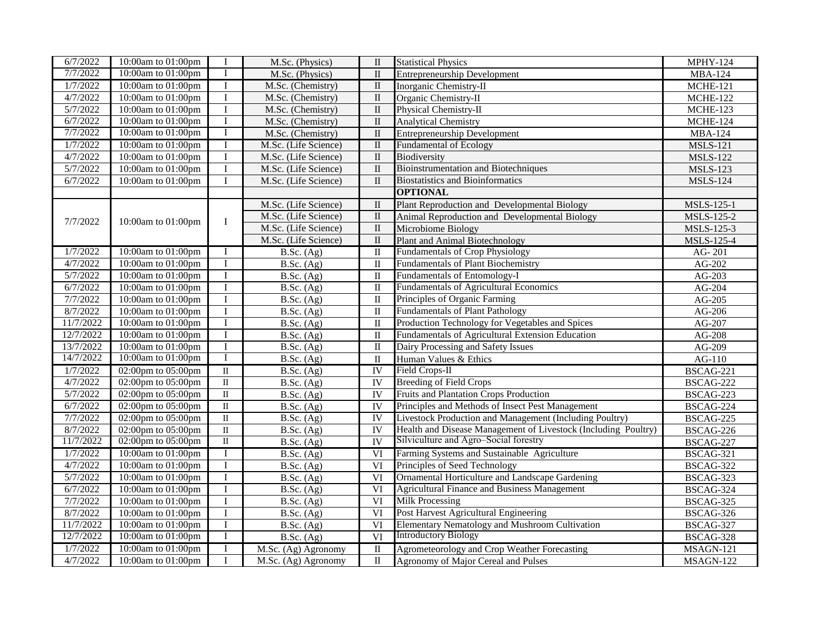| 6/7/2022  | 10:00am to 01:00pm              | $\bf{I}$            | M.Sc. (Physics)                       | $\mathbf{I}$            | <b>Statistical Physics</b>                                     | <b>MPHY-124</b>   |
|-----------|---------------------------------|---------------------|---------------------------------------|-------------------------|----------------------------------------------------------------|-------------------|
| 7/7/2022  | 10:00am to 01:00pm              | $\mathbf I$         | M.Sc. (Physics)                       | $\rm II$                | <b>Entrepreneurship Development</b>                            | <b>MBA-124</b>    |
| 1/7/2022  | 10:00am to 01:00pm              | I                   | M.Sc. (Chemistry)                     | $\rm II$                | Inorganic Chemistry-II                                         | <b>MCHE-121</b>   |
| 4/7/2022  | 10:00am to 01:00pm              | $\mathbf I$         | M.Sc. (Chemistry)                     | $\rm II$                | Organic Chemistry-II                                           | MCHE-122          |
| 5/7/2022  | 10:00am to 01:00pm              | $\bf{I}$            | M.Sc. (Chemistry)                     | $\rm II$                | Physical Chemistry-II                                          | MCHE-123          |
| 6/7/2022  | 10:00am to 01:00pm              | $\bf I$             | M.Sc. (Chemistry)                     | $\rm II$                | <b>Analytical Chemistry</b>                                    | <b>MCHE-124</b>   |
| 7/7/2022  | 10:00am to 01:00pm              | Ι                   | M.Sc. (Chemistry)                     | $\rm II$                | <b>Entrepreneurship Development</b>                            | <b>MBA-124</b>    |
| 1/7/2022  | 10:00am to 01:00pm              | $\bf{I}$            | M.Sc. (Life Science)                  | $\mathbf{I}$            | Fundamental of Ecology                                         | <b>MSLS-121</b>   |
| 4/7/2022  | 10:00am to 01:00pm              | I                   | M.Sc. (Life Science)                  | $\;$ II                 | Biodiversity                                                   | <b>MSLS-122</b>   |
| 5/7/2022  | 10:00am to 01:00pm              | $\bf I$             | M.Sc. (Life Science)                  | $\overline{\rm II}$     | <b>Bioinstrumentation and Biotechniques</b>                    | <b>MSLS-123</b>   |
| 6/7/2022  | 10:00am to 01:00pm              | I                   | M.Sc. (Life Science)                  | $\rm II$                | <b>Biostatistics and Bioinformatics</b>                        | <b>MSLS-124</b>   |
|           |                                 |                     |                                       |                         | <b>OPTIONAL</b>                                                |                   |
|           |                                 |                     | M.Sc. (Life Science)                  | $\;$ II                 | Plant Reproduction and Developmental Biology                   | MSLS-125-1        |
| 7/7/2022  | 10:00am to 01:00pm              | I                   | M.Sc. (Life Science)                  | $\rm II$                | Animal Reproduction and Developmental Biology                  | <b>MSLS-125-2</b> |
|           |                                 |                     | M.Sc. (Life Science)                  | $\;$ II                 | Microbiome Biology                                             | MSLS-125-3        |
|           |                                 |                     | M.Sc. (Life Science)                  | $\mathbf{I}$            | Plant and Animal Biotechnology                                 | <b>MSLS-125-4</b> |
| 1/7/2022  | 10:00am to 01:00pm              | I                   | $\overline{\text{B.Sc. (Ag)}}$        | $\overline{\mathbf{u}}$ | <b>Fundamentals of Crop Physiology</b>                         | AG-201            |
| 4/7/2022  | 10:00am to 01:00pm              | $\bf{I}$            | $\overline{\text{B}}$ . Sc. (Ag)      | $\rm II$                | <b>Fundamentals of Plant Biochemistry</b>                      | $AG-202$          |
| 5/7/2022  | 10:00am to 01:00pm              | $\bf{I}$            | B.Sc. (Ag)                            | $\rm II$                | <b>Fundamentals of Entomology-I</b>                            | $AG-203$          |
| 6/7/2022  | 10:00am to 01:00pm              | $\mathbf I$         | B.Sc. (Ag)                            | $\mathbf{I}$            | <b>Fundamentals of Agricultural Economics</b>                  | $AG-204$          |
| 7/7/2022  | 10:00am to 01:00pm              | $\bf{I}$            | B.Sc. (Ag)                            | $\;$ II                 | Principles of Organic Farming                                  | $AG-205$          |
| 8/7/2022  | 10:00am to 01:00pm              | $\bf{I}$            | B.Sc. (Ag)                            | $\rm II$                | <b>Fundamentals of Plant Pathology</b>                         | AG-206            |
| 11/7/2022 | 10:00am to 01:00pm              | $\mathbf I$         | B.Sc. (Ag)                            | $\rm II$                | Production Technology for Vegetables and Spices                | AG-207            |
| 12/7/2022 | 10:00am to 01:00pm              | I                   | B.Sc. (Ag)                            | $\rm II$                | Fundamentals of Agricultural Extension Education               | AG-208            |
| 13/7/2022 | 10:00am to 01:00pm              | $\bf I$             | B.Sc. (Ag)                            | $\rm II$                | Dairy Processing and Safety Issues                             | AG-209            |
| 14/7/2022 | 10:00am to 01:00pm              | I                   | B.Sc. (Ag)                            | $\rm II$                | Human Values & Ethics                                          | AG-110            |
| 1/7/2022  | 02:00pm to 05:00pm              | $\overline{\rm II}$ | B.Sc. (Ag)                            | IV                      | Field Crops-II                                                 | BSCAG-221         |
| 4/7/2022  | 02:00pm to 05:00pm              | $\overline{\rm II}$ | B.Sc. (Ag)                            | $\overline{\rm I}$      | <b>Breeding of Field Crops</b>                                 | BSCAG-222         |
| 5/7/2022  | 02:00pm to 05:00pm              | $\overline{\rm II}$ | B.Sc. (Ag)                            | $\overline{\rm I}$      | Fruits and Plantation Crops Production                         | BSCAG-223         |
| 6/7/2022  | 02:00pm to 05:00pm              | $\overline{\rm II}$ | B.Sc. (Ag)                            | <b>IV</b>               | Principles and Methods of Insect Pest Management               | BSCAG-224         |
| 7/7/2022  | $\overline{02:00pm}$ to 05:00pm | $\overline{\rm II}$ | B.Sc. (Ag)                            | $\overline{\rm I}$      | Livestock Production and Management (Including Poultry)        | BSCAG-225         |
| 8/7/2022  | 02:00pm to 05:00pm              | $\rm II$            | B.Sc. (Ag)                            | <b>IV</b>               | Health and Disease Management of Livestock (Including Poultry) | BSCAG-226         |
| 11/7/2022 | 02:00pm to 05:00pm              | $\overline{\rm II}$ | $\overline{\text{B}}$ . Sc. (Ag)      | <b>IV</b>               | Silviculture and Agro-Social forestry                          | BSCAG-227         |
| 1/7/2022  | 10:00am to 01:00pm              | I                   | $\overline{\text{B}.\text{Sc.}}$ (Ag) | VI                      | Farming Systems and Sustainable Agriculture                    | BSCAG-321         |
| 4/7/2022  | 10:00am to 01:00pm              | $\bf I$             | B.Sc. (Ag)                            | $\overline{\text{VI}}$  | Principles of Seed Technology                                  | BSCAG-322         |
| 5/7/2022  | 10:00am to 01:00pm              | $\mathbf I$         | $\overline{\text{B}}$ . Sc. (Ag)      | VI                      | Ornamental Horticulture and Landscape Gardening                | BSCAG-323         |
| 6/7/2022  | 10:00am to 01:00pm              | $\bf I$             | B.Sc. (Ag)                            | $\overline{\text{VI}}$  | <b>Agricultural Finance and Business Management</b>            | BSCAG-324         |
| 7/7/2022  | 10:00am to 01:00pm              | $\bf{I}$            | B.Sc. (Ag)                            | VI                      | <b>Milk Processing</b>                                         | BSCAG-325         |
| 8/7/2022  | 10:00am to 01:00pm              | $\mathbf I$         | B.Sc. (Ag)                            | VI                      | Post Harvest Agricultural Engineering                          | BSCAG-326         |
| 11/7/2022 | 10:00am to 01:00pm              | $\bf{I}$            | B.Sc. (Ag)                            | VI                      | <b>Elementary Nematology and Mushroom Cultivation</b>          | BSCAG-327         |
| 12/7/2022 | 10:00am to 01:00pm              | I                   | B.Sc. (Ag)                            | $\overline{VI}$         | <b>Introductory Biology</b>                                    | BSCAG-328         |
| 1/7/2022  | 10:00am to 01:00pm              | Ι.                  | M.Sc. (Ag) Agronomy                   | $\rm II$                | Agrometeorology and Crop Weather Forecasting                   | MSAGN-121         |
| 4/7/2022  | 10:00am to 01:00pm              | I                   | M.Sc. (Ag) Agronomy                   | $\rm II$                | Agronomy of Major Cereal and Pulses                            | MSAGN-122         |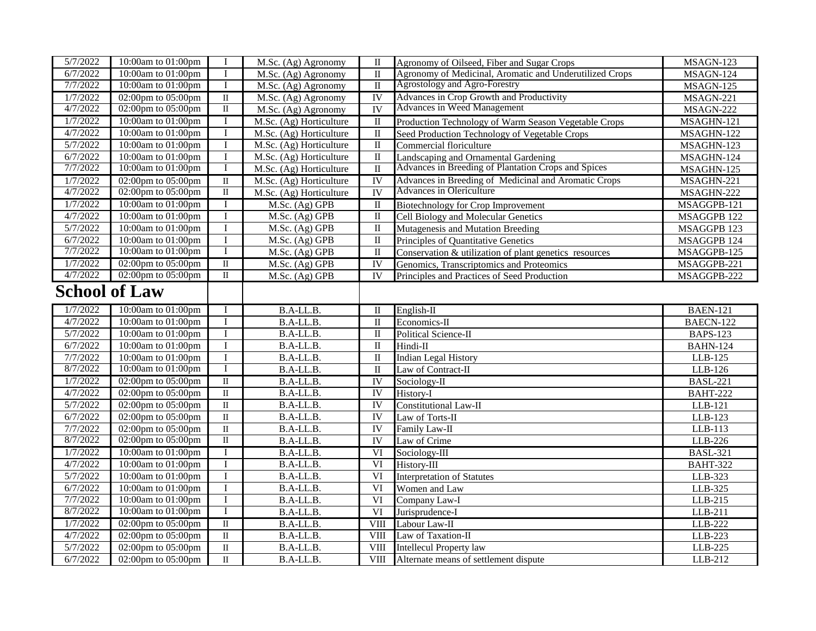| 5/7/2022             | 10:00am to 01:00pm                       | $\bf{I}$                 | M.Sc. (Ag) Agronomy     | $\mathbf{I}$             | Agronomy of Oilseed, Fiber and Sugar Crops                              | MSAGN-123          |
|----------------------|------------------------------------------|--------------------------|-------------------------|--------------------------|-------------------------------------------------------------------------|--------------------|
| 6/7/2022             | 10:00am to 01:00pm                       | $\mathbf I$              | M.Sc. (Ag) Agronomy     | $\overline{\mathbf{I}}$  | Agronomy of Medicinal, Aromatic and Underutilized Crops                 | MSAGN-124          |
| 7/7/2022             | 10:00am to 01:00pm                       | 1                        | M.Sc. (Ag) Agronomy     | $\rm II$                 | Agrostology and Agro-Forestry                                           | MSAGN-125          |
| 1/7/2022             | $02:00 \text{pm}$ to $05:00 \text{pm}$   | $\overline{\mathbf{u}}$  | M.Sc. (Ag) Agronomy     | IV                       | Advances in Crop Growth and Productivity                                | MSAGN-221          |
| 4/7/2022             | 02:00pm to 05:00pm                       | $\rm II$                 | M.Sc. (Ag) Agronomy     | <b>IV</b>                | Advances in Weed Management                                             | MSAGN-222          |
| 1/7/2022             | 10:00am to 01:00pm                       | $\bf{I}$                 | M.Sc. (Ag) Horticulture | $\overline{\mathbf{u}}$  | Production Technology of Warm Season Vegetable Crops                    | MSAGHN-121         |
| 4/7/2022             | 10:00am to 01:00pm                       | I                        | M.Sc. (Ag) Horticulture | $\rm II$                 | Seed Production Technology of Vegetable Crops                           | MSAGHN-122         |
| 5/7/2022             | 10:00am to 01:00pm                       | $\mathbf{I}$             | M.Sc. (Ag) Horticulture | $\;$ II                  | Commercial floriculture                                                 | MSAGHN-123         |
| 6/7/2022             | 10:00am to 01:00pm                       | I                        | M.Sc. (Ag) Horticulture | $\overline{\mathbf{u}}$  | Landscaping and Ornamental Gardening                                    | MSAGHN-124         |
| 7/7/2022             | 10:00am to 01:00pm                       | $\bf{I}$                 | M.Sc. (Ag) Horticulture | $\overline{\mathbf{u}}$  | Advances in Breeding of Plantation Crops and Spices                     | MSAGHN-125         |
| 1/7/2022             | $02:00 \text{pm}$ to $05:00 \text{pm}$   | $\overline{\mathbf{u}}$  | M.Sc. (Ag) Horticulture | IV                       | Advances in Breeding of Medicinal and Aromatic Crops                    | MSAGHN-221         |
| 4/7/2022             | 02:00pm to 05:00pm                       | $\overline{\mathbf{u}}$  | M.Sc. (Ag) Horticulture | $\overline{\rm I}$       | <b>Advances in Olericulture</b>                                         | MSAGHN-222         |
| 1/7/2022             | 10:00am to 01:00pm                       | $\bf{I}$                 | M.Sc. (Ag) GPB          | $\overline{\mathbf{u}}$  | <b>Biotechnology for Crop Improvement</b>                               | MSAGGPB-121        |
| 4/7/2022             | 10:00am to 01:00pm                       | $\bf{I}$                 | M.Sc. (Ag) GPB          | $\;$ II                  | Cell Biology and Molecular Genetics                                     | MSAGGPB 122        |
| 5/7/2022             | 10:00am to 01:00pm                       | I                        | M.Sc. (Ag) GPB          | $\;$ II                  | Mutagenesis and Mutation Breeding                                       | MSAGGPB 123        |
| 6/7/2022             | 10:00am to 01:00pm                       | $\mathbf I$              | M.Sc. (Ag) GPB          | $\rm II$                 | Principles of Quantitative Genetics                                     | MSAGGPB 124        |
| 7/7/2022             | 10:00am to 01:00pm                       |                          | M.Sc. (Ag) GPB          | $\;$ II                  | Conservation & utilization of plant genetics resources                  | MSAGGPB-125        |
| 1/7/2022             | 02:00pm to 05:00pm                       | $\overline{\mathbf{u}}$  | M.Sc. (Ag) GPB          | $\overline{IV}$          | Genomics, Transcriptomics and Proteomics                                | MSAGGPB-221        |
| 4/7/2022             | 02:00pm to 05:00pm                       | $\mathbf{I}$             | M.Sc. (Ag) GPB          | IV                       | Principles and Practices of Seed Production                             | MSAGGPB-222        |
|                      | <b>School of Law</b>                     |                          |                         |                          |                                                                         |                    |
| 1/7/2022             | 10:00am to 01:00pm                       | $\bf{I}$                 | B.A-LL.B.               | $\overline{\mathbf{I}}$  | $English-II$                                                            | <b>BAEN-121</b>    |
| 4/7/2022             | 10:00am to 01:00pm                       | $\mathbf I$              | B.A-LL.B.               | $\rm II$                 | Economics-II                                                            | BAECN-122          |
| 5/7/2022             | 10:00am to 01:00pm                       | I                        | B.A-LL.B.               | $\rm II$                 | Political Science-II                                                    | <b>BAPS-123</b>    |
| 6/7/2022             | 10:00am to 01:00pm                       | $\mathbf I$              | B.A-LL.B.               | $\overline{\mathbf{I}}$  | Hindi-II                                                                | <b>BAHN-124</b>    |
| 7/7/2022             | 10:00am to 01:00pm                       | $\bf{I}$                 | B.A-LL.B.               | $\;$ II                  | <b>Indian Legal History</b>                                             | LLB-125            |
| 8/7/2022             | 10:00am to 01:00pm                       | I                        | B.A-LL.B.               | $\rm II$                 | Law of Contract-II                                                      | LLB-126            |
| 1/7/2022             | 02:00pm to 05:00pm                       | $\overline{\mathbf{u}}$  | B.A-LL.B.               | $\overline{\text{IV}}$   | Sociology-II                                                            | <b>BASL-221</b>    |
| 4/7/2022             | 02:00pm to 05:00pm                       | $\overline{\rm II}$      | B.A-LL.B.               | $\overline{\rm I}$       | History-I                                                               | <b>BAHT-222</b>    |
| 5/7/2022             | 02:00pm to 05:00pm                       | $\rm II$                 | B.A-LL.B.               | <b>IV</b>                | Constitutional Law-II                                                   | LLB-121            |
| 6/7/2022             | 02:00pm to 05:00pm                       |                          |                         |                          |                                                                         |                    |
| 7/7/2022             |                                          | $\overline{\rm II}$      | B.A-LL.B.               | <b>IV</b>                | Law of Torts-II                                                         | LLB-123            |
|                      | 02:00pm to 05:00pm                       | $\overline{\rm II}$      | B.A-LL.B.               | <b>IV</b>                | Family Law-II                                                           | LLB-113            |
| 8/7/2022             | 02:00pm to 05:00pm                       | $\;$ II                  | B.A-LL.B.               | $\overline{\rm I}$       | Law of Crime                                                            | LLB-226            |
| 1/7/2022             | 10:00am to 01:00pm                       | $\bf{I}$                 | B.A-LL.B.               | VI                       | Sociology-III                                                           | <b>BASL-321</b>    |
| 4/7/2022             | 10:00am to 01:00pm                       | $\mathbf I$              | $B.A-LL.B.$             | VI                       | History-III                                                             | <b>BAHT-322</b>    |
| 5/7/2022             | 10:00am to 01:00pm                       | $\bf I$                  | B.A-LL.B.               | $\overline{\text{VI}}$   | <b>Interpretation of Statutes</b>                                       | LLB-323            |
| 6/7/2022             | 10:00am to 01:00pm                       | $\bf I$                  | B.A-LL.B.               | $\overline{\text{VI}}$   | Women and Law                                                           | LLB-325            |
| 7/7/2022             | 10:00am to 01:00pm                       | $\mathbf I$              | B.A-LL.B.               | $\overline{\text{VI}}$   | Company Law-I                                                           | LLB-215            |
| 8/7/2022             | 10:00am to 01:00pm                       | <sup>1</sup>             | B.A-LL.B.               | VI                       | Jurisprudence-I                                                         | LLB-211            |
| 1/7/2022             | $02:00 \text{pm}$ to $05:00 \text{pm}$   | $\overline{\mathbf{u}}$  | B.A-LL.B.               | VIII                     | Labour Law-II                                                           | LLB-222            |
| 4/7/2022             | 02:00pm to 05:00pm                       | $\rm II$                 | B.A-LL.B.               | $\overline{\text{VIII}}$ | Law of Taxation-II                                                      | LLB-223            |
| 5/7/2022<br>6/7/2022 | 02:00pm to 05:00pm<br>02:00pm to 05:00pm | $\rm II$<br>$\mathbf{I}$ | B.A-LL.B.<br>B.A-LL.B.  | VIII<br><b>VIII</b>      | <b>Intellecul Property law</b><br>Alternate means of settlement dispute | LLB-225<br>LLB-212 |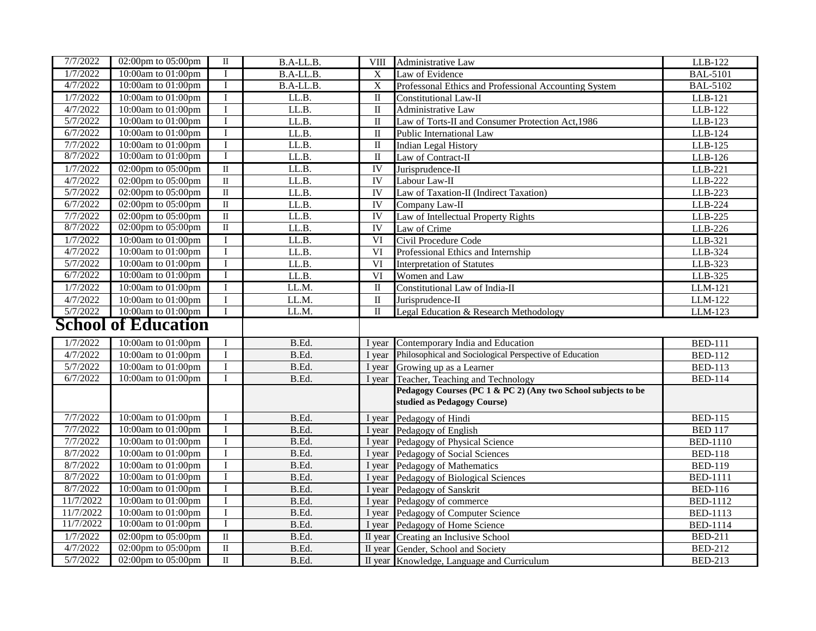| 7/7/2022             | 02:00pm to 05:00pm                                     | $\mathbf I$             | B.A-LL.B.      | <b>VIII</b>             | <b>Administrative Law</b>                                                        | LLB-122                          |
|----------------------|--------------------------------------------------------|-------------------------|----------------|-------------------------|----------------------------------------------------------------------------------|----------------------------------|
| 1/7/2022             | 10:00am to 01:00pm                                     | $\bf{I}$                | B.A-LL.B.      | $\overline{X}$          | Law of Evidence                                                                  | <b>BAL-5101</b>                  |
| 4/7/2022             | 10:00am to 01:00pm                                     | $\bf{I}$                | B.A-LL.B.      | $\mathbf X$             | Professonal Ethics and Professional Accounting System                            | <b>BAL-5102</b>                  |
| 1/7/2022             | 10:00am to 01:00pm                                     | $\mathbf I$             | LL.B.          | $\mathbf{I}$            | Constitutional Law-II                                                            | LLB-121                          |
| 4/7/2022             | 10:00am to 01:00pm                                     | $\mathbf I$             | LL.B.          | $\mathbf{I}$            | Administrative Law                                                               | LLB-122                          |
| 5/7/2022             | 10:00am to 01:00pm                                     | $\overline{I}$          | LL.B.          | $\overline{\mathbf{u}}$ | Law of Torts-II and Consumer Protection Act, 1986                                | LLB-123                          |
| 6/7/2022             | 10:00am to 01:00pm                                     | $\bf{I}$                | LL.B.          | $\mathbf I$             | Public International Law                                                         | LLB-124                          |
| 7/7/2022             | 10:00am to 01:00pm                                     | $\bf I$                 | LL.B.          | $\;$ II                 | <b>Indian Legal History</b>                                                      | LLB-125                          |
| 8/7/2022             | 10:00am to 01:00pm                                     | $\mathbf I$             | LL.B.          | $\;$ II                 | Law of Contract-II                                                               | LLB-126                          |
| 1/7/2022             | 02:00pm to 05:00pm                                     | $\overline{\mathbf{u}}$ | LL.B.          | IV                      | Jurisprudence-II                                                                 | LLB-221                          |
| 4/7/2022             | 02:00pm to 05:00pm                                     | $\rm II$                | LL.B.          | IV                      | Labour Law-II                                                                    | LLB-222                          |
| 5/7/2022             | 02:00pm to 05:00pm                                     | $\rm II$                | LL.B.          | IV                      | Law of Taxation-II (Indirect Taxation)                                           | LLB-223                          |
| 6/7/2022             | 02:00pm to 05:00pm                                     | $\overline{\mathbf{u}}$ | LL.B.          | $\overline{IV}$         | Company Law-II                                                                   | LLB-224                          |
| 7/7/2022             | $\overline{02:00pm}$ to 05:00pm                        | $\overline{\rm II}$     | LL.B.          | <b>IV</b>               | Law of Intellectual Property Rights                                              | LLB-225                          |
| 8/7/2022             | 02:00pm to 05:00pm                                     | $\overline{\mathbf{u}}$ | LL.B.          | <b>IV</b>               | Law of Crime                                                                     | LLB-226                          |
| 1/7/2022             | 10:00am to 01:00pm                                     | $\mathbf I$             | LL.B.          | VI                      | Civil Procedure Code                                                             | LLB-321                          |
| 4/7/2022             | 10:00am to 01:00pm                                     | $\mathbf I$             | LL.B.          | VI                      | Professional Ethics and Internship                                               | LLB-324                          |
| 5/7/2022             | 10:00am to 01:00pm                                     | $\rm I$                 | LL.B.          | $\overline{VI}$         | <b>Interpretation of Statutes</b>                                                | LLB-323                          |
| 6/7/2022             | 10:00am to 01:00pm                                     | I                       | LL.B.          | VI                      | Women and Law                                                                    | LLB-325                          |
| 1/7/2022             | 10:00am to 01:00pm                                     | $\mathbf I$             | LL.M.          | $\overline{\mathbf{I}}$ | Constitutional Law of India-II                                                   | LLM-121                          |
| 4/7/2022             | 10:00am to 01:00pm                                     | $\bf I$                 | LL.M.          | $\;$ II                 | Jurisprudence-II                                                                 | LLM-122                          |
| 5/7/2022             | 10:00am to 01:00pm                                     | $\mathbf{I}$            | LL.M.          | $\overline{\mathbf{u}}$ | Legal Education & Research Methodology                                           | LLM-123                          |
|                      | <b>School of Education</b>                             |                         |                |                         |                                                                                  |                                  |
| 1/7/2022             | 10:00am to 01:00pm                                     | Ι.                      | B.Ed.          | I year                  | Contemporary India and Education                                                 | <b>BED-111</b>                   |
|                      |                                                        |                         |                |                         |                                                                                  |                                  |
| 4/7/2022             | 10:00am to 01:00pm                                     | $\mathbf I$             | B.Ed.          | I year                  | Philosophical and Sociological Perspective of Education                          | <b>BED-112</b>                   |
| 5/7/2022             | 10:00am to 01:00pm                                     | $\bf I$                 | B.Ed.          | I year                  | Growing up as a Learner                                                          | <b>BED-113</b>                   |
| 6/7/2022             | 10:00am to 01:00pm                                     | I                       | B.Ed.          | I year                  | Teacher, Teaching and Technology                                                 | <b>BED-114</b>                   |
|                      |                                                        |                         |                |                         | Pedagogy Courses (PC 1 & PC 2) (Any two School subjects to be                    |                                  |
|                      |                                                        |                         |                |                         | studied as Pedagogy Course)                                                      |                                  |
| 7/7/2022             | 10:00am to 01:00pm                                     | $\bf I$                 | B.Ed.          |                         | I year Pedagogy of Hindi                                                         | <b>BED-115</b>                   |
| 7/7/2022             | 10:00am to 01:00pm                                     | $\mathbf I$             | B.Ed.          |                         | I year Pedagogy of English                                                       | <b>BED 117</b>                   |
| 7/7/2022             | 10:00am to 01:00pm                                     | $\bf I$                 | B.Ed.          | I year                  | Pedagogy of Physical Science                                                     | <b>BED-1110</b>                  |
| 8/7/2022             | 10:00am to 01:00pm                                     | $\rm I$                 | B.Ed.          | I year                  | Pedagogy of Social Sciences                                                      | <b>BED-118</b>                   |
| 8/7/2022             | 10:00am to 01:00pm                                     | $\mathbf I$             | B.Ed.          | I year                  | Pedagogy of Mathematics                                                          | <b>BED-119</b>                   |
| 8/7/2022             | 10:00am to 01:00pm                                     | $\rm I$                 | B.Ed.          | I year                  | Pedagogy of Biological Sciences                                                  | <b>BED-1111</b>                  |
| 8/7/2022             | 10:00am to 01:00pm                                     | $\mathbf I$             | B.Ed.          | I year                  | Pedagogy of Sanskrit                                                             | <b>BED-116</b>                   |
| 11/7/2022            | 10:00am to 01:00pm                                     | $\bf I$                 | B.Ed.          | I year                  | Pedagogy of commerce                                                             | <b>BED-1112</b>                  |
| 11/7/2022            | 10:00am to 01:00pm                                     | $\bf I$                 | B.Ed.          |                         | I year Pedagogy of Computer Science                                              | <b>BED-1113</b>                  |
| 11/7/2022            | 10:00am to 01:00pm                                     | $\mathbf I$             | B.Ed.          |                         | I year Pedagogy of Home Science                                                  | <b>BED-1114</b>                  |
| 1/7/2022             | 02:00pm to 05:00pm                                     | $\overline{\mathbf{u}}$ | B.Ed.          |                         | II year Creating an Inclusive School                                             | <b>BED-211</b>                   |
| 4/7/2022<br>5/7/2022 | $\overline{02:}00$ pm to 05:00pm<br>02:00pm to 05:00pm | $\rm II$<br>$\rm II$    | B.Ed.<br>B.Ed. |                         | II year Gender, School and Society<br>II year Knowledge, Language and Curriculum | <b>BED-212</b><br><b>BED-213</b> |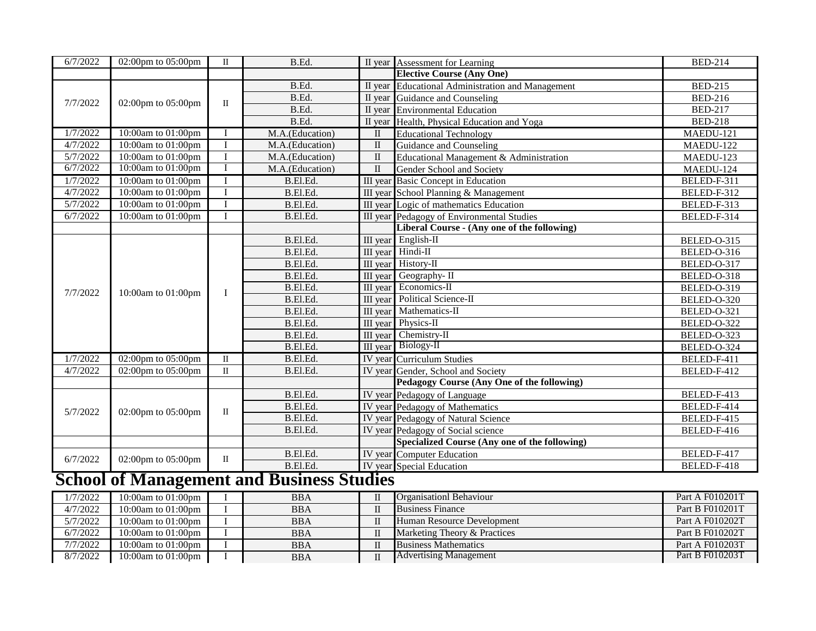| 6/7/2022 | 02:00pm to 05:00pm | $\mathbf{I}$ | B.Ed.           |              | II year Assessment for Learning                   | <b>BED-214</b> |
|----------|--------------------|--------------|-----------------|--------------|---------------------------------------------------|----------------|
|          |                    |              |                 |              | <b>Elective Course (Any One)</b>                  |                |
|          |                    |              | B.Ed.           |              | II year Educational Administration and Management | <b>BED-215</b> |
| 7/7/2022 | 02:00pm to 05:00pm | $\mathbf{I}$ | B.Ed.           |              | II year Guidance and Counseling                   | <b>BED-216</b> |
|          |                    |              | B.Ed.           |              | II year Environmental Education                   | <b>BED-217</b> |
|          |                    |              | B.Ed.           |              | II year Health, Physical Education and Yoga       | <b>BED-218</b> |
| 1/7/2022 | 10:00am to 01:00pm | I            | M.A.(Education) | $\mathbf{I}$ | <b>Educational Technology</b>                     | MAEDU-121      |
| 4/7/2022 | 10:00am to 01:00pm | $\mathbf I$  | M.A.(Education) | $\mathbf{I}$ | Guidance and Counseling                           | MAEDU-122      |
| 5/7/2022 | 10:00am to 01:00pm | $\bf{I}$     | M.A.(Education) | $\mathbf{I}$ | Educational Management & Administration           | MAEDU-123      |
| 6/7/2022 | 10:00am to 01:00pm | I            | M.A.(Education) | $\mathbf{I}$ | Gender School and Society                         | MAEDU-124      |
| 1/7/2022 | 10:00am to 01:00pm | I            | B.El.Ed.        |              | III year Basic Concept in Education               | BELED-F-311    |
| 4/7/2022 | 10:00am to 01:00pm | $\mathbf I$  | B.El.Ed.        |              | III year School Planning & Management             | BELED-F-312    |
| 5/7/2022 | 10:00am to 01:00pm | $\mathbf I$  | B.El.Ed.        |              | III year Logic of mathematics Education           | BELED-F-313    |
| 6/7/2022 | 10:00am to 01:00pm | $\mathbf{I}$ | B.El.Ed.        |              | <b>III</b> year Pedagogy of Environmental Studies | BELED-F-314    |
|          |                    |              |                 |              | Liberal Course - (Any one of the following)       |                |
|          |                    |              | B.El.Ed.        |              | III year English-II                               | BELED-O-315    |
|          |                    |              | B.El.Ed.        |              | III year Hindi-II                                 | BELED-O-316    |
|          |                    |              | B.El.Ed.        |              | III year History-II                               | BELED-O-317    |
|          |                    | $\mathbf I$  | B.El.Ed.        |              | III year Geography- II                            | BELED-O-318    |
| 7/7/2022 | 10:00am to 01:00pm |              | B.El.Ed.        |              | III year Economics-II                             | BELED-O-319    |
|          |                    |              | B.El.Ed.        |              | III year Political Science-II                     | BELED-O-320    |
|          |                    |              | B.El.Ed.        |              | <b>III</b> year Mathematics-II                    | BELED-O-321    |
|          |                    |              | B.El.Ed.        |              | III year Physics-II                               | BELED-O-322    |
|          |                    |              | B.El.Ed.        | III year     | Chemistry-II                                      | BELED-O-323    |
|          |                    |              | B.El.Ed         |              | III year Biology-II                               | BELED-O-324    |
| 1/7/2022 | 02:00pm to 05:00pm | $\mathbf{I}$ | B.El.Ed.        |              | <b>IV</b> year Curriculum Studies                 | BELED-F-411    |
| 4/7/2022 | 02:00pm to 05:00pm | $\;$ II      | B.El.Ed.        |              | IV year Gender, School and Society                | BELED-F-412    |
|          |                    |              |                 |              | Pedagogy Course (Any One of the following)        |                |
|          |                    |              | B.El.Ed.        |              | IV year Pedagogy of Language                      | BELED-F-413    |
| 5/7/2022 | 02:00pm to 05:00pm | П            | B.El.Ed.        |              | IV year Pedagogy of Mathematics                   | BELED-F-414    |
|          |                    |              | B.El.Ed.        |              | IV year Pedagogy of Natural Science               | BELED-F-415    |
|          |                    |              | B.El.Ed.        |              | IV year Pedagogy of Social science                | BELED-F-416    |
|          |                    |              |                 |              | Specialized Course (Any one of the following)     |                |
| 6/7/2022 | 02:00pm to 05:00pm | $\rm II$     | B.El.Ed.        |              | IV year Computer Education                        | BELED-F-417    |
|          |                    |              | B.El.Ed.        |              | IV year Special Education                         | BELED-F-418    |

## **School of Management and Business Studies**

| 1/7/2022 | 10:00am to 01:00pm | <b>BBA</b> | <b>Organisation</b> Behaviour | Part A F010201T |
|----------|--------------------|------------|-------------------------------|-----------------|
| 4/7/2022 | 10:00am to 01:00pm | <b>BBA</b> | <b>Business Finance</b>       | Part B F010201T |
| 5/7/2022 | 10:00am to 01:00pm | <b>BBA</b> | Human Resource Development    | Part A F010202T |
| 6/7/2022 | 10:00am to 01:00pm | <b>BBA</b> | Marketing Theory & Practices  | Part B F010202T |
| 7/7/2022 | 10:00am to 01:00pm | <b>BBA</b> | <b>Business Mathematics</b>   | Part A F010203T |
| 8/7/2022 | 10:00am to 01:00pm | <b>BBA</b> | <b>Advertising Management</b> | Part B F010203T |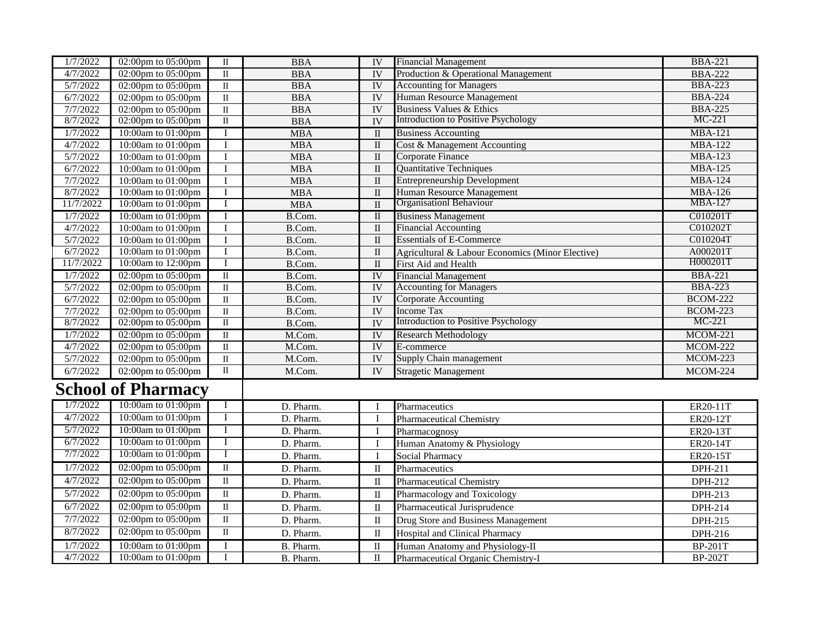| 1/7/2022             | 02:00pm to 05:00pm                     | $\overline{\mathbf{u}}$ | <b>BBA</b>              | IV                      | <b>Financial Management</b>                                                       | <b>BBA-221</b>                   |
|----------------------|----------------------------------------|-------------------------|-------------------------|-------------------------|-----------------------------------------------------------------------------------|----------------------------------|
| 4/7/2022             | 02:00pm to 05:00pm                     | $\rm II$                | <b>BBA</b>              | <b>IV</b>               | Production & Operational Management                                               |                                  |
| 5/7/2022             |                                        | $\rm II$                |                         |                         | <b>Accounting for Managers</b>                                                    | <b>BBA-222</b><br><b>BBA-223</b> |
|                      | 02:00pm to 05:00pm                     |                         | <b>BBA</b>              | IV                      | <b>Human Resource Management</b>                                                  |                                  |
| 6/7/2022             | $\overline{02:00pm}$ to 05:00pm        | $\rm II$                | $\overline{\text{BBA}}$ | <b>IV</b>               |                                                                                   | <b>BBA-224</b>                   |
| 7/7/2022<br>8/7/2022 | 02:00pm to 05:00pm                     | $\overline{\rm II}$     | <b>BBA</b>              | <b>IV</b>               | <b>Business Values &amp; Ethics</b><br><b>Introduction to Positive Psychology</b> | <b>BBA-225</b><br>MC-221         |
|                      | 02:00pm to 05:00pm                     | $\mathbf{I}$            | <b>BBA</b>              | $\overline{IV}$         |                                                                                   |                                  |
| 1/7/2022             | 10:00am to 01:00pm                     | $\bf{I}$                | <b>MBA</b>              | $\;$ II                 | <b>Business Accounting</b>                                                        | <b>MBA-121</b>                   |
| 4/7/2022             | 10:00am to 01:00pm                     | $\bf{I}$                | <b>MBA</b>              | $\mathbf{I}$            | Cost & Management Accounting                                                      | <b>MBA-122</b>                   |
| 5/7/2022             | 10:00am to 01:00pm                     | $\bf I$                 | <b>MBA</b>              | $\rm II$                | Corporate Finance                                                                 | <b>MBA-123</b>                   |
| 6/7/2022             | 10:00am to 01:00pm                     | $\mathbf I$             | <b>MBA</b>              | $\rm II$                | <b>Quantitative Techniques</b>                                                    | <b>MBA-125</b>                   |
| 7/7/2022             | 10:00am to 01:00pm                     | I                       | <b>MBA</b>              | $\rm II$                | <b>Entrepreneurship Development</b>                                               | <b>MBA-124</b>                   |
| 8/7/2022             | 10:00am to 01:00pm                     | $\bf{I}$                | <b>MBA</b>              | $\mathbf{I}$            | Human Resource Management                                                         | <b>MBA-126</b>                   |
| 11/7/2022            | 10:00am to 01:00pm                     | I                       | <b>MBA</b>              | $\mathbf{I}$            | Organisationl Behaviour                                                           | <b>MBA-127</b>                   |
| 1/7/2022             | 10:00am to 01:00pm                     | $\bf{I}$                | B.Com.                  | $\overline{\mathbf{u}}$ | <b>Business Management</b>                                                        | C010201T                         |
| 4/7/2022             | 10:00am to 01:00pm                     | $\bf I$                 | B.Com.                  | $\rm II$                | <b>Financial Accounting</b>                                                       | C010202T                         |
| 5/7/2022             | 10:00am to 01:00pm                     | $\bf{I}$                | B.Com.                  | $\rm II$                | <b>Essentials of E-Commerce</b>                                                   | C010204T                         |
| 6/7/2022             | 10:00am to 01:00pm                     | $\bf I$                 | B.Com.                  | $\rm II$                | Agricultural & Labour Economics (Minor Elective)                                  | A000201T                         |
| 11/7/2022            | 10:00am to 12:00pm                     | I                       | B.Com.                  | $\;$ II                 | First Aid and Health                                                              | H000201T                         |
| 1/7/2022             | $02:00 \text{pm}$ to $05:00 \text{pm}$ | $\overline{\mathbf{u}}$ | B.Com.                  | IV                      | <b>Financial Management</b>                                                       | <b>BBA-221</b>                   |
| 5/7/2022             | 02:00pm to $05:00$ pm                  | $\rm II$                | B.Com.                  | <b>IV</b>               | <b>Accounting for Managers</b>                                                    | <b>BBA-223</b>                   |
| 6/7/2022             | 02:00pm to 05:00pm                     | $\rm II$                | B.Com.                  | IV                      | <b>Corporate Accounting</b>                                                       | <b>BCOM-222</b>                  |
| 7/7/2022             | 02:00pm to 05:00pm                     | $\rm II$                | B.Com.                  | <b>IV</b>               | <b>Income Tax</b>                                                                 | <b>BCOM-223</b>                  |
| 8/7/2022             | 02:00pm to 05:00pm                     | $\overline{\rm II}$     | B.Com.                  | <b>IV</b>               | <b>Introduction to Positive Psychology</b>                                        | $MC-221$                         |
| 1/7/2022             | 02:00pm to 05:00pm                     | $\overline{\mathbf{u}}$ | M.Com.                  | IV                      | <b>Research Methodology</b>                                                       | <b>MCOM-221</b>                  |
| 4/7/2022             | 02:00pm to 05:00pm                     | $\rm II$                | M.Com.                  | IV                      | E-commerce                                                                        | <b>MCOM-222</b>                  |
| 5/7/2022             | 02:00pm to 05:00pm                     | $\rm II$                | M.Com.                  | <b>IV</b>               | Supply Chain management                                                           | <b>MCOM-223</b>                  |
| 6/7/2022             | 02:00pm to 05:00pm                     | $\rm II$                | M.Com.                  | IV                      | <b>Stragetic Management</b>                                                       | <b>MCOM-224</b>                  |
|                      |                                        |                         |                         |                         |                                                                                   |                                  |
|                      | <b>School of Pharmacy</b>              |                         |                         |                         |                                                                                   |                                  |
| 1/7/2022             | 10:00am to 01:00pm                     | $\bf{I}$                | D. Pharm.               | I                       | Pharmaceutics                                                                     | ER20-11T                         |
| 4/7/2022             | 10:00am to 01:00pm                     | $\mathbf I$             | D. Pharm.               | $\bf I$                 | Pharmaceutical Chemistry                                                          | ER20-12T                         |
| 5/7/2022             | 10:00am to 01:00pm                     | I                       | D. Pharm.               | $\bf I$                 | Pharmacognosy                                                                     | ER20-13T                         |
| 6/7/2022             | 10:00am to 01:00pm                     | $\bf{I}$                | D. Pharm.               | $\mathbf I$             | Human Anatomy & Physiology                                                        | ER20-14T                         |
| 7/7/2022             | 10:00am to 01:00pm                     | I                       | D. Pharm.               | $\mathbf{I}$            | Social Pharmacy                                                                   |                                  |
| 1/7/2022             | 02:00pm to 05:00pm                     | $\overline{\mathbf{u}}$ |                         |                         |                                                                                   | ER20-15T                         |
|                      |                                        |                         | D. Pharm.               | $\;$ II                 | Pharmaceutics                                                                     | DPH-211                          |
| 4/7/2022             | 02:00pm to 05:00pm                     | $\rm II$                | D. Pharm.               | $\rm II$                | <b>Pharmaceutical Chemistry</b>                                                   | DPH-212                          |
| 5/7/2022             | 02:00pm to 05:00pm                     | $\overline{\rm II}$     | D. Pharm.               | $\;$ II                 | Pharmacology and Toxicology                                                       | DPH-213                          |
| 6/7/2022             | 02:00pm to 05:00pm                     | $\overline{\rm II}$     | D. Pharm.               | $\;$ II                 | Pharmaceutical Jurisprudence                                                      | DPH-214                          |
| 7/7/2022             | 02:00pm to 05:00pm                     | $\overline{\rm II}$     | D. Pharm.               | $\;$ II                 | Drug Store and Business Management                                                | DPH-215                          |
| 8/7/2022             | 02:00pm to 05:00pm                     | $\overline{\rm II}$     | D. Pharm.               | $\mathbf{I}$            | <b>Hospital and Clinical Pharmacy</b>                                             | DPH-216                          |
| 1/7/2022             | 10:00am to 01:00pm                     | $\bf{I}$                | B. Pharm.               | $\rm II$                | Human Anatomy and Physiology-II                                                   | <b>BP-201T</b>                   |
| 4/7/2022             | 10:00am to 01:00pm                     | $\mathbf I$             | B. Pharm.               | $\rm II$                | Pharmaceutical Organic Chemistry-I                                                | <b>BP-202T</b>                   |